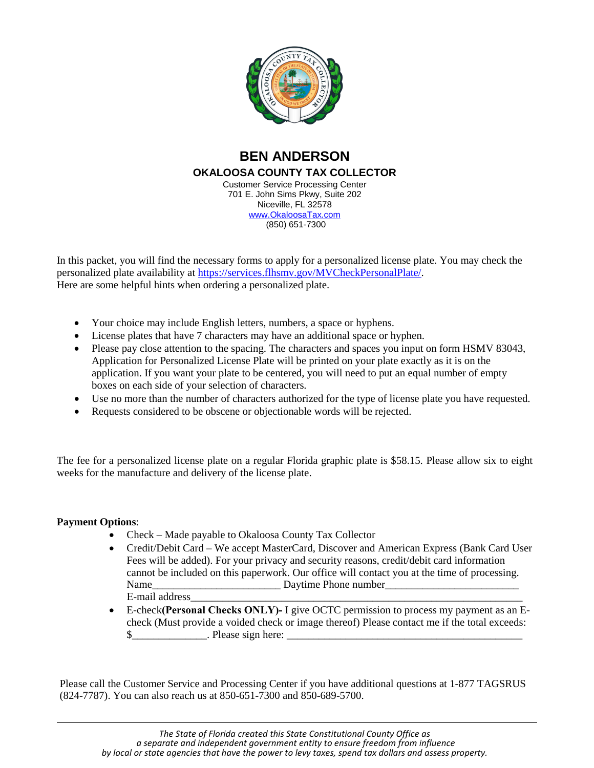

# **BEN ANDERSON OKALOOSA COUNTY TAX COLLECTOR** Customer Service Processing Center 701 E. John Sims Pkwy, Suite 202

Niceville, FL 32578 [www.OkaloosaTax.com](http://www.okaloosatax.com/) (850) 651-7300

In this packet, you will find the necessary forms to apply for a personalized license plate. You may check the personalized plate availability at [https://services.flhsmv.gov/MVCheckPersonalPlate/.](https://services.flhsmv.gov/MVCheckPersonalPlate/) Here are some helpful hints when ordering a personalized plate.

- Your choice may include English letters, numbers, a space or hyphens.
- License plates that have 7 characters may have an additional space or hyphen.
- Please pay close attention to the spacing. The characters and spaces you input on form HSMV 83043, Application for Personalized License Plate will be printed on your plate exactly as it is on the application. If you want your plate to be centered, you will need to put an equal number of empty boxes on each side of your selection of characters.
- Use no more than the number of characters authorized for the type of license plate you have requested.
- Requests considered to be obscene or objectionable words will be rejected.

The fee for a personalized license plate on a regular Florida graphic plate is \$58.15. Please allow six to eight weeks for the manufacture and delivery of the license plate.

# **Payment Options**:

- Check Made payable to Okaloosa County Tax Collector
- Credit/Debit Card We accept MasterCard, Discover and American Express (Bank Card User Fees will be added). For your privacy and security reasons, credit/debit card information cannot be included on this paperwork. Our office will contact you at the time of processing. Name Daytime Phone number E-mail address\_\_\_\_\_\_\_\_\_\_\_\_\_\_\_\_\_\_\_\_\_\_\_\_\_\_\_\_\_\_\_\_\_\_\_\_\_\_\_\_\_\_\_\_\_\_\_\_\_\_\_\_\_\_\_\_\_\_\_\_\_\_
- E-check**(Personal Checks ONLY)-** I give OCTC permission to process my payment as an Echeck (Must provide a voided check or image thereof) Please contact me if the total exceeds: \$ Please sign here:

Please call the Customer Service and Processing Center if you have additional questions at 1-877 TAGSRUS (824-7787). You can also reach us at 850-651-7300 and 850-689-5700.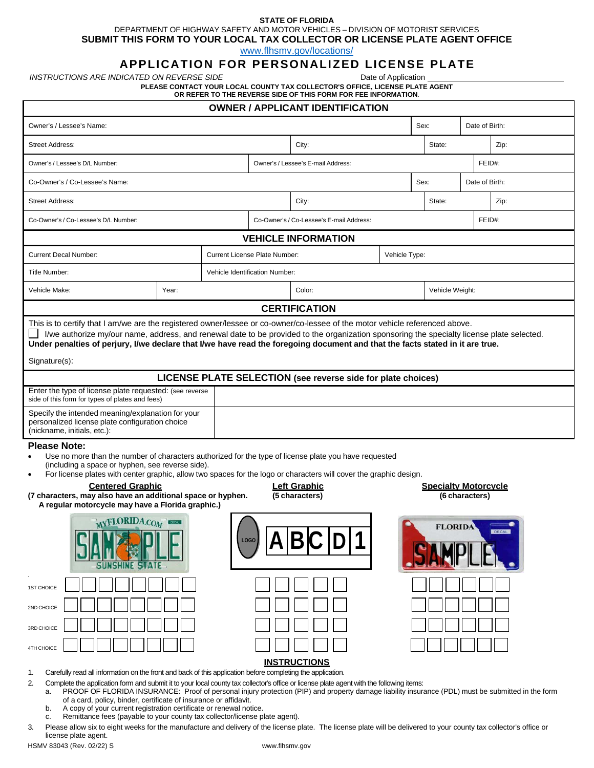## **STATE OF FLORIDA** DEPARTMENT OF HIGHWAY SAFETY AND MOTOR VEHICLES – DIVISION OF MOTORIST SERVICES

**SUBMIT THIS FORM TO YOUR LOCAL TAX COLLECTOR OR LICENSE PLATE AGENT OFFICE**

[www.flhsmv.gov/locations/](https://www.flhsmv.gov/locations/)

# **APPLICATION FOR PERSONALIZED LICENSE PLATE**

*INSTRUCTIONS ARE INDICATED ON REVERSE SIDE* **Date of Application** Date of Application

**PLEASE CONTACT YOUR LOCAL COUNTY TAX COLLECTOR'S OFFICE, LICENSE PLATE AGENT**

| OR REFER TO THE REVERSE SIDE OF THIS FORM FOR FEE INFORMATION. |  |
|----------------------------------------------------------------|--|
|                                                                |  |

| <b>OWNER / APPLICANT IDENTIFICATION</b>                                                                                                                                                                                                                                                                                                                                                                                                                                                                                                                                                           |       |                                |                                                |                                    |        |                |                 |                |  |  |  |
|---------------------------------------------------------------------------------------------------------------------------------------------------------------------------------------------------------------------------------------------------------------------------------------------------------------------------------------------------------------------------------------------------------------------------------------------------------------------------------------------------------------------------------------------------------------------------------------------------|-------|--------------------------------|------------------------------------------------|------------------------------------|--------|----------------|-----------------|----------------|--|--|--|
| Owner's / Lessee's Name:                                                                                                                                                                                                                                                                                                                                                                                                                                                                                                                                                                          |       |                                |                                                |                                    |        | Sex:           |                 | Date of Birth: |  |  |  |
| <b>Street Address:</b>                                                                                                                                                                                                                                                                                                                                                                                                                                                                                                                                                                            |       |                                |                                                | City:                              | State: | Zip:           |                 |                |  |  |  |
| Owner's / Lessee's D/L Number:                                                                                                                                                                                                                                                                                                                                                                                                                                                                                                                                                                    |       |                                |                                                | Owner's / Lessee's E-mail Address: |        |                | FEID#:          |                |  |  |  |
| Co-Owner's / Co-Lessee's Name:                                                                                                                                                                                                                                                                                                                                                                                                                                                                                                                                                                    |       |                                |                                                |                                    | Sex:   | Date of Birth: |                 |                |  |  |  |
| <b>Street Address:</b>                                                                                                                                                                                                                                                                                                                                                                                                                                                                                                                                                                            |       |                                | City:                                          |                                    |        | State:         |                 | Zip:           |  |  |  |
| Co-Owner's / Co-Lessee's D/L Number:                                                                                                                                                                                                                                                                                                                                                                                                                                                                                                                                                              |       |                                | Co-Owner's / Co-Lessee's E-mail Address:       |                                    |        | FEID#:         |                 |                |  |  |  |
| <b>VEHICLE INFORMATION</b>                                                                                                                                                                                                                                                                                                                                                                                                                                                                                                                                                                        |       |                                |                                                |                                    |        |                |                 |                |  |  |  |
| <b>Current Decal Number:</b>                                                                                                                                                                                                                                                                                                                                                                                                                                                                                                                                                                      |       |                                | Current License Plate Number:<br>Vehicle Type: |                                    |        |                |                 |                |  |  |  |
| Title Number:                                                                                                                                                                                                                                                                                                                                                                                                                                                                                                                                                                                     |       | Vehicle Identification Number: |                                                |                                    |        |                |                 |                |  |  |  |
| Vehicle Make:                                                                                                                                                                                                                                                                                                                                                                                                                                                                                                                                                                                     | Year: |                                |                                                | Color:                             |        |                | Vehicle Weight: |                |  |  |  |
| <b>CERTIFICATION</b>                                                                                                                                                                                                                                                                                                                                                                                                                                                                                                                                                                              |       |                                |                                                |                                    |        |                |                 |                |  |  |  |
| I/we authorize my/our name, address, and renewal date to be provided to the organization sponsoring the specialty license plate selected.<br>Under penalties of perjury, I/we declare that I/we have read the foregoing document and that the facts stated in it are true.<br>Signature(s):                                                                                                                                                                                                                                                                                                       |       |                                |                                                |                                    |        |                |                 |                |  |  |  |
| LICENSE PLATE SELECTION (see reverse side for plate choices)                                                                                                                                                                                                                                                                                                                                                                                                                                                                                                                                      |       |                                |                                                |                                    |        |                |                 |                |  |  |  |
| Enter the type of license plate requested: (see reverse<br>side of this form for types of plates and fees)                                                                                                                                                                                                                                                                                                                                                                                                                                                                                        |       |                                |                                                |                                    |        |                |                 |                |  |  |  |
| Specify the intended meaning/explanation for your<br>personalized license plate configuration choice<br>(nickname, initials, etc.):                                                                                                                                                                                                                                                                                                                                                                                                                                                               |       |                                |                                                |                                    |        |                |                 |                |  |  |  |
| <b>Please Note:</b><br>Use no more than the number of characters authorized for the type of license plate you have requested<br>(including a space or hyphen, see reverse side).<br>For license plates with center graphic, allow two spaces for the logo or characters will cover the graphic design.<br><b>Centered Graphic</b><br><b>Left Graphic</b><br><b>Specialty Motorcycle</b><br>(7 characters, may also have an additional space or hyphen.<br>(5 characters)<br>(6 characters)<br>A regular motorcycle may have a Florida graphic.)<br><b>MYFLORIDA.COM</b><br><b>FLORIDA</b><br>LOGO |       |                                |                                                |                                    |        |                |                 |                |  |  |  |
| 1ST CHOICE                                                                                                                                                                                                                                                                                                                                                                                                                                                                                                                                                                                        |       |                                |                                                |                                    |        |                |                 |                |  |  |  |

1. Carefully read all information on the front and back of this application before completing the application.

2. Complete the application form and submit it to your local county tax collector's office or license plate agent with the following items:

a. PROOF OF FLORIDA INSURANCE: Proof of personal injury protection (PIP) and property damage liability insurance (PDL) must be submitted in the form of a card, policy, binder, certificate of insurance or affidavit.

b. A copy of your current registration certificate or renewal notice.

c. Remittance fees (payable to your county tax collector/license plate agent).

3. Please allow six to eight weeks for the manufacture and delivery of the license plate. The license plate will be delivered to your county tax collector's office or license plate agent.

HSMV 83043 (Rev. 02/22) S [www.flhsmv.gov](http://www.flhsmv.gov/)

2ND CHOICE

3RD CHOICE

4TH CHOICE